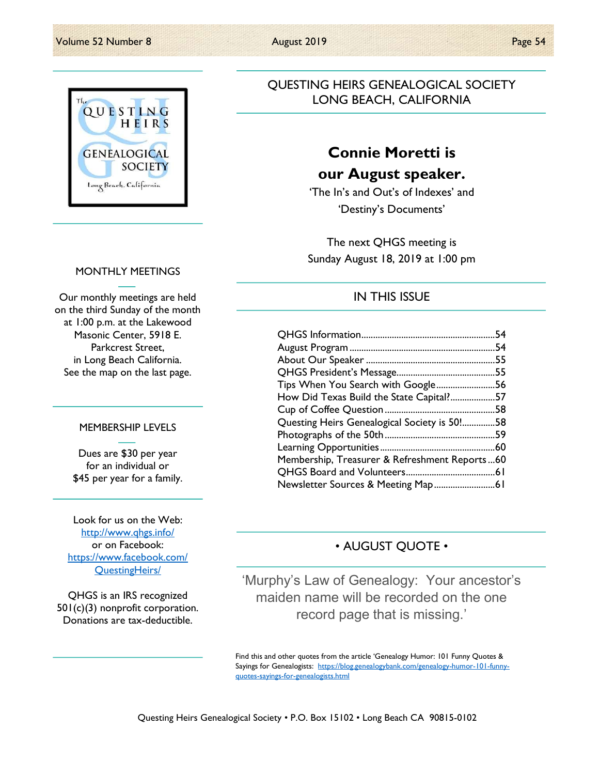

### MONTHLY MEETINGS

Our monthly meetings are held on the third Sunday of the month at 1:00 p.m. at the Lakewood Masonic Center, 5918 E. Parkcrest Street, in Long Beach California. See the map on the last page.

#### MEMBERSHIP LEVELS

Dues are \$30 per year for an individual or \$45 per year for a family.

Look for us on the Web: http://www.qhgs.info/ or on Facebook: https://www.facebook.com/ QuestingHeirs/

QHGS is an IRS recognized 501(c)(3) nonprofit corporation. Donations are tax-deductible.

Questing Heirs Genealogical Society • P.O. Box 15102 • Long Beach CA 90815-0102

### QUESTING HEIRS GENEALOGICAL SOCIETY LONG BEACH, CALIFORNIA

### Connie Moretti is our August speaker.

'The In's and Out's of Indexes' and 'Destiny's Documents'

The next QHGS meeting is Sunday August 18, 2019 at 1:00 pm

### IN THIS ISSUE

|                                               | 54  |
|-----------------------------------------------|-----|
|                                               |     |
|                                               |     |
|                                               |     |
| Tips When You Search with Google56            |     |
| How Did Texas Build the State Capital?        | .57 |
|                                               | .58 |
| Questing Heirs Genealogical Society is 50!58  |     |
|                                               |     |
|                                               |     |
| Membership, Treasurer & Refreshment Reports60 |     |
|                                               |     |
|                                               |     |

### • AUGUST QUOTE •

'Murphy's Law of Genealogy: Your ancestor's maiden name will be recorded on the one record page that is missing.'

Find this and other quotes from the article 'Genealogy Humor: 101 Funny Quotes & Sayings for Genealogists: https://blog.genealogybank.com/genealogy-humor-101-funnyquotes-sayings-for-genealogists.html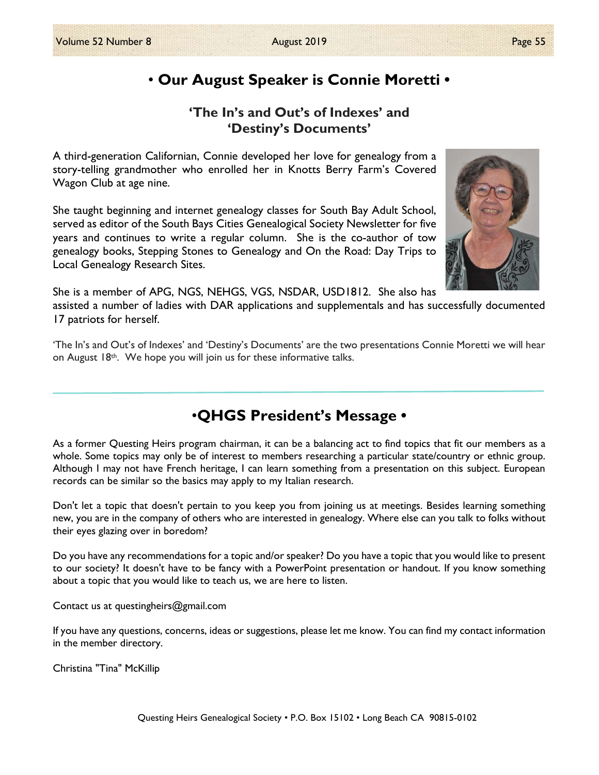### • Our August Speaker is Connie Moretti •

### 'The In's and Out's of Indexes' and 'Destiny's Documents'

A third-generation Californian, Connie developed her love for genealogy from a story-telling grandmother who enrolled her in Knotts Berry Farm's Covered Wagon Club at age nine.

She taught beginning and internet genealogy classes for South Bay Adult School, served as editor of the South Bays Cities Genealogical Society Newsletter for five years and continues to write a regular column. She is the co-author of tow genealogy books, Stepping Stones to Genealogy and On the Road: Day Trips to Local Genealogy Research Sites.



She is a member of APG, NGS, NEHGS, VGS, NSDAR, USD1812. She also has

assisted a number of ladies with DAR applications and supplementals and has successfully documented 17 patriots for herself.

'The In's and Out's of Indexes' and 'Destiny's Documents' are the two presentations Connie Moretti we will hear on August  $18<sup>th</sup>$ . We hope you will join us for these informative talks.

### •QHGS President's Message •

As a former Questing Heirs program chairman, it can be a balancing act to find topics that fit our members as a whole. Some topics may only be of interest to members researching a particular state/country or ethnic group. Although I may not have French heritage, I can learn something from a presentation on this subject. European records can be similar so the basics may apply to my Italian research.

Don't let a topic that doesn't pertain to you keep you from joining us at meetings. Besides learning something new, you are in the company of others who are interested in genealogy. Where else can you talk to folks without their eyes glazing over in boredom?

Do you have any recommendations for a topic and/or speaker? Do you have a topic that you would like to present to our society? It doesn't have to be fancy with a PowerPoint presentation or handout. If you know something about a topic that you would like to teach us, we are here to listen.

Contact us at questingheirs@gmail.com

If you have any questions, concerns, ideas or suggestions, please let me know. You can find my contact information in the member directory.

Christina "Tina" McKillip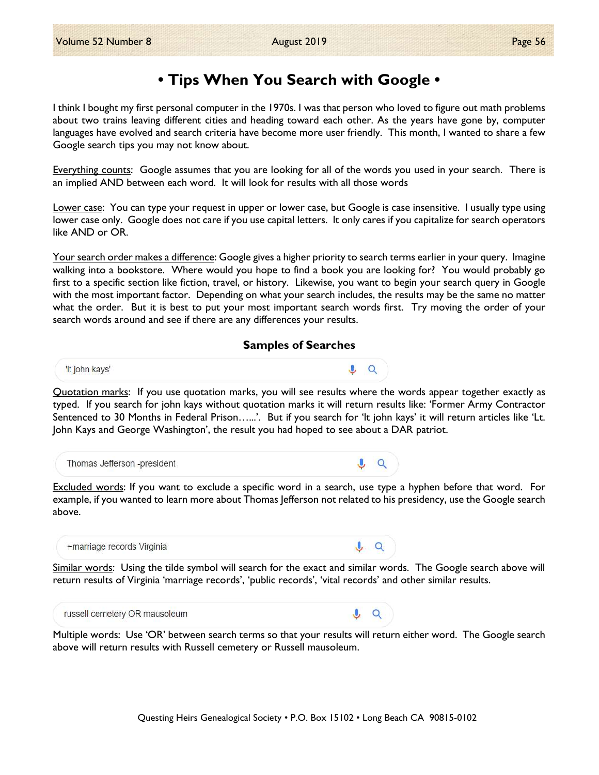### • Tips When You Search with Google •

I think I bought my first personal computer in the 1970s. I was that person who loved to figure out math problems about two trains leaving different cities and heading toward each other. As the years have gone by, computer languages have evolved and search criteria have become more user friendly. This month, I wanted to share a few Google search tips you may not know about.

Everything counts: Google assumes that you are looking for all of the words you used in your search. There is an implied AND between each word. It will look for results with all those words

Lower case: You can type your request in upper or lower case, but Google is case insensitive. I usually type using lower case only. Google does not care if you use capital letters. It only cares if you capitalize for search operators like AND or OR.

Your search order makes a difference: Google gives a higher priority to search terms earlier in your query. Imagine walking into a bookstore. Where would you hope to find a book you are looking for? You would probably go first to a specific section like fiction, travel, or history. Likewise, you want to begin your search query in Google with the most important factor. Depending on what your search includes, the results may be the same no matter what the order. But it is best to put your most important search words first. Try moving the order of your search words around and see if there are any differences your results.

### Samples of Searches



Quotation marks: If you use quotation marks, you will see results where the words appear together exactly as typed. If you search for john kays without quotation marks it will return results like: 'Former Army Contractor Sentenced to 30 Months in Federal Prison…...'. But if you search for 'lt john kays' it will return articles like 'Lt. John Kays and George Washington', the result you had hoped to see about a DAR patriot.



Excluded words: If you want to exclude a specific word in a search, use type a hyphen before that word. For example, if you wanted to learn more about Thomas Jefferson not related to his presidency, use the Google search above.

~marriage records Virginia

Similar words: Using the tilde symbol will search for the exact and similar words. The Google search above will return results of Virginia 'marriage records', 'public records', 'vital records' and other similar results.

 $\mathbf{u} \cdot \mathbf{a}$ 

 $\circ$ 

russell cemetery OR mausoleum

Multiple words: Use 'OR' between search terms so that your results will return either word. The Google search above will return results with Russell cemetery or Russell mausoleum.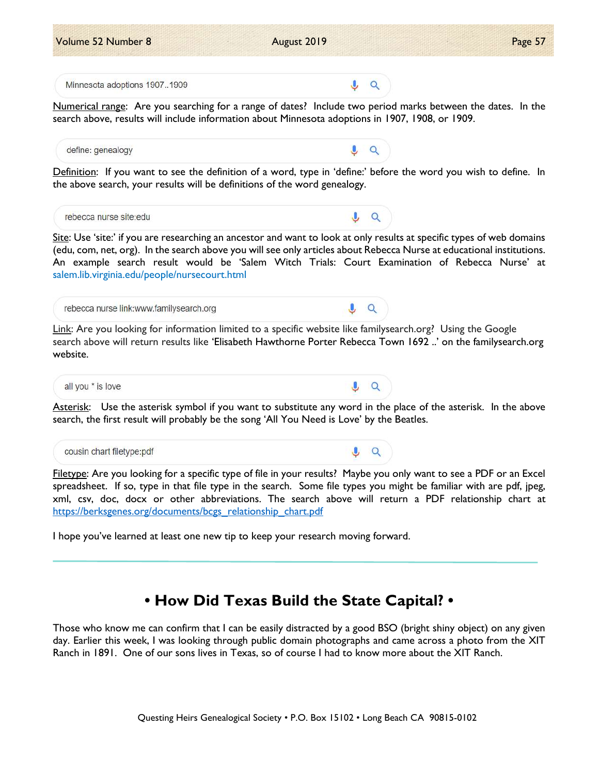

Volume 52 Number 8 **August 2019** Page 57 **Page 57** 

Filetype: Are you looking for a specific type of file in your results? Maybe you only want to see a PDF or an Excel spreadsheet. If so, type in that file type in the search. Some file types you might be familiar with are pdf, jpeg, xml, csv, doc, docx or other abbreviations. The search above will return a PDF relationship chart at https://berksgenes.org/documents/bcgs\_relationship\_chart.pdf

I hope you've learned at least one new tip to keep your research moving forward.

# • How Did Texas Build the State Capital? •

Those who know me can confirm that I can be easily distracted by a good BSO (bright shiny object) on any given day. Earlier this week, I was looking through public domain photographs and came across a photo from the XIT Ranch in 1891. One of our sons lives in Texas, so of course I had to know more about the XIT Ranch.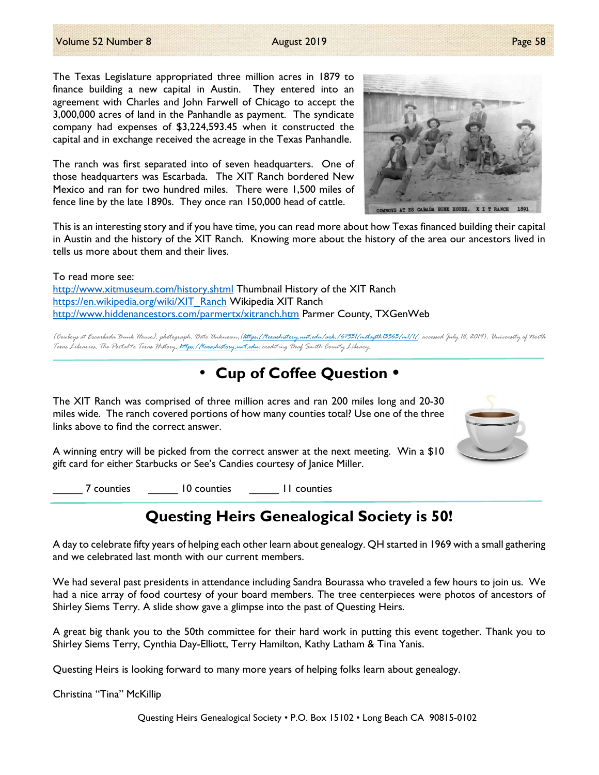The Texas Legislature appropriated three million acres in 1879 to finance building a new capital in Austin. They entered into an agreement with Charles and John Farwell of Chicago to accept the 3,000,000 acres of land in the Panhandle as payment. The syndicate company had expenses of \$3,224,593.45 when it constructed the capital and in exchange received the acreage in the Texas Panhandle.

The ranch was first separated into of seven headquarters. One of those headquarters was Escarbada. The XIT Ranch bordered New Mexico and ran for two hundred miles. There were 1,500 miles of fence line by the late 1890s. They once ran 150,000 head of cattle.

This is an interesting story and if you have time, you can read more about how Texas financed building their capital in Austin and the history of the XIT Ranch. Knowing more about the history of the area our ancestors lived in tells us more about them and their lives.

To read more see: http://www.xitmuseum.com/history.shtml Thumbnail History of the XIT Ranch https://en.wikipedia.org/wiki/XIT\_Ranch Wikipedia XIT Ranch http://www.hiddenancestors.com/parmertx/xitranch.htm Parmer County, TXGenWeb

[Cowboys at Escarbada Bunk House], photograph, Date Unknown;(https://texashistory.unt.edu/ark:/67531/metapth13563/m1/1/: accessed July 18, 2019), University of North Texas Libraries, The Portal to Texas History, https://texashistory.unt.edu; crediting Deaf Smith County Library.

### • Cup of Coffee Question •

The XIT Ranch was comprised of three million acres and ran 200 miles long and 20-30 miles wide. The ranch covered portions of how many counties total? Use one of the three links above to find the correct answer.

A winning entry will be picked from the correct answer at the next meeting. Win a \$10 gift card for either Starbucks or See's Candies courtesy of Janice Miller.

\_\_\_\_\_ 7 counties \_\_\_\_\_ 10 counties \_\_\_\_\_ 11 counties

## Questing Heirs Genealogical Society is 50!

A day to celebrate fifty years of helping each other learn about genealogy. QH started in 1969 with a small gathering and we celebrated last month with our current members.

We had several past presidents in attendance including Sandra Bourassa who traveled a few hours to join us. We had a nice array of food courtesy of your board members. The tree centerpieces were photos of ancestors of Shirley Siems Terry. A slide show gave a glimpse into the past of Questing Heirs.

A great big thank you to the 50th committee for their hard work in putting this event together. Thank you to Shirley Siems Terry, Cynthia Day-Elliott, Terry Hamilton, Kathy Latham & Tina Yanis.

Questing Heirs is looking forward to many more years of helping folks learn about genealogy.

Christina "Tina" McKillip

Questing Heirs Genealogical Society • P.O. Box 15102 • Long Beach CA 90815-0102



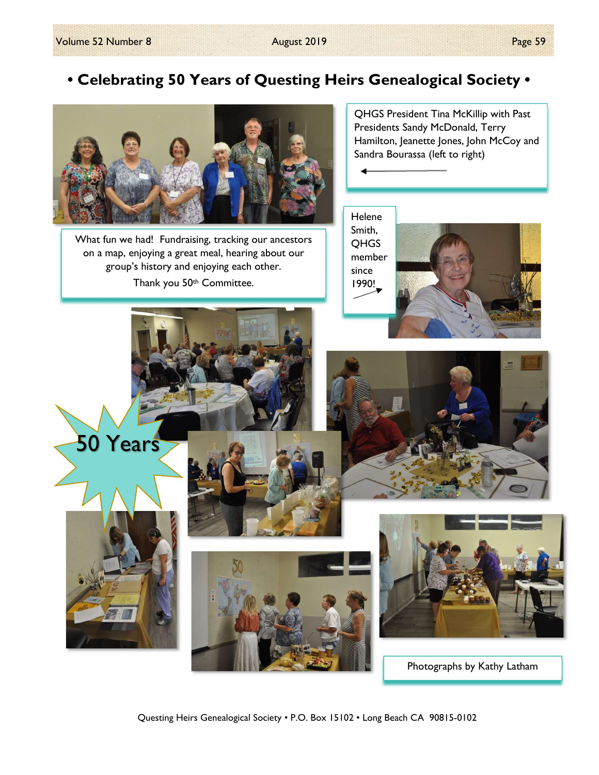## • Celebrating 50 Years of Questing Heirs Genealogical Society •



What fun we had! Fundraising, tracking our ancestors on a map, enjoying a great meal, hearing about our group's history and enjoying each other. Thank you 50<sup>th</sup> Committee.

QHGS President Tina McKillip with Past Presidents Sandy McDonald, Terry Hamilton, Jeanette Jones, John McCoy and Sandra Bourassa (left to right)

Helene Smith, QHGS member since 1990!



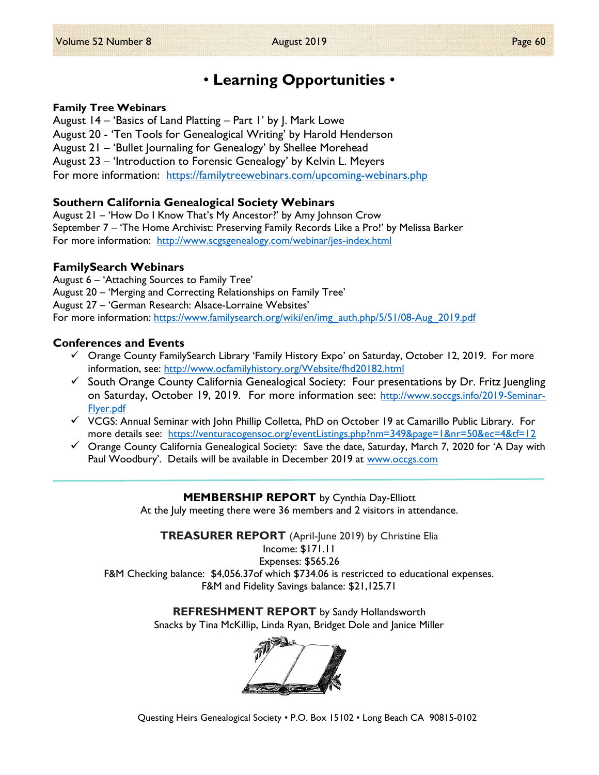### • Learning Opportunities •

#### Family Tree Webinars

August 14 – 'Basics of Land Platting – Part 1' by J. Mark Lowe August 20 - 'Ten Tools for Genealogical Writing' by Harold Henderson August 21 – 'Bullet Journaling for Genealogy' by Shellee Morehead August 23 – 'Introduction to Forensic Genealogy' by Kelvin L. Meyers For more information: https://familytreewebinars.com/upcoming-webinars.php

### Southern California Genealogical Society Webinars

August 21 – 'How Do I Know That's My Ancestor?' by Amy Johnson Crow September 7 – 'The Home Archivist: Preserving Family Records Like a Pro!' by Melissa Barker For more information: http://www.scgsgenealogy.com/webinar/jes-index.html

### FamilySearch Webinars

August 6 – 'Attaching Sources to Family Tree'

August 20 – 'Merging and Correcting Relationships on Family Tree'

August 27 – 'German Research: Alsace-Lorraine Websites'

For more information: https://www.familysearch.org/wiki/en/img\_auth.php/5/51/08-Aug\_2019.pdf

#### Conferences and Events

- Orange County FamilySearch Library 'Family History Expo' on Saturday, October 12, 2019. For more information, see: http://www.ocfamilyhistory.org/Website/fhd20182.html
- $\checkmark$  South Orange County California Genealogical Society: Four presentations by Dr. Fritz Juengling on Saturday, October 19, 2019. For more information see: http://www.soccgs.info/2019-Seminar-Flyer.pdf
- $\checkmark$  VCGS: Annual Seminar with John Phillip Colletta, PhD on October 19 at Camarillo Public Library. For more details see: https://venturacogensoc.org/eventListings.php?nm=349&page=1&nr=50&ec=4&tf=12
- $\checkmark$  Orange County California Genealogical Society: Save the date, Saturday, March 7, 2020 for 'A Day with Paul Woodbury'. Details will be available in December 2019 at www.occgs.com

### MEMBERSHIP REPORT by Cynthia Day-Elliott

At the July meeting there were 36 members and 2 visitors in attendance.

TREASURER REPORT (April-June 2019) by Christine Elia Income: \$171.11 Expenses: \$565.26 F&M Checking balance: \$4,056.37of which \$734.06 is restricted to educational expenses.

F&M and Fidelity Savings balance: \$21,125.71

REFRESHMENT REPORT by Sandy Hollandsworth

Snacks by Tina McKillip, Linda Ryan, Bridget Dole and Janice Miller



Questing Heirs Genealogical Society • P.O. Box 15102 • Long Beach CA 90815-0102